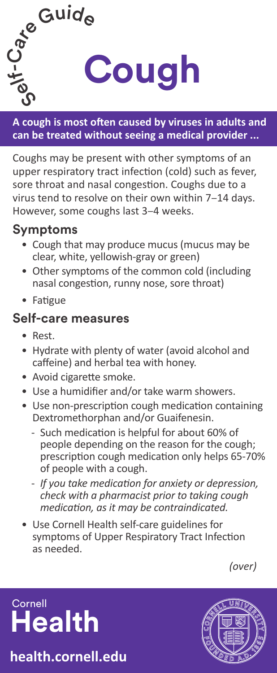$\frac{C_1}{C_2}$  Cough **Medi** C are Guide

**A cough is most often caused by viruses in adults and can be treated without seeing a medical provider ...**

Coughs may be present with other symptoms of an upper respiratory tract infection (cold) such as fever, sore throat and nasal congestion. Coughs due to a virus tend to resolve on their own within 7–14 days. However, some coughs last 3–4 weeks.

### **Symptoms**

- Cough that may produce mucus (mucus may be clear, white, yellowish-gray or green)
- Other symptoms of the common cold (including nasal congestion, runny nose, sore throat)
- Fatigue

#### **Self-care measures**

- Rest.
- Hydrate with plenty of water (avoid alcohol and caffeine) and herbal tea with honey.
- Avoid cigarette smoke.
- Use a humidifier and/or take warm showers.
- Use non-prescription cough medication containing Dextromethorphan and/or Guaifenesin.
	- Such medication is helpful for about 60% of people depending on the reason for the cough; prescription cough medication only helps 65-70% of people with a cough.
	- *If you take medication for anxiety or depression, check with a pharmacist prior to taking cough medication, as it may be contraindicated.*
- Use Cornell Health self-care guidelines for symptoms of Upper Respiratory Tract Infection as needed.

*(over)*

## Cornell **Health**

**health.cornell.edu**